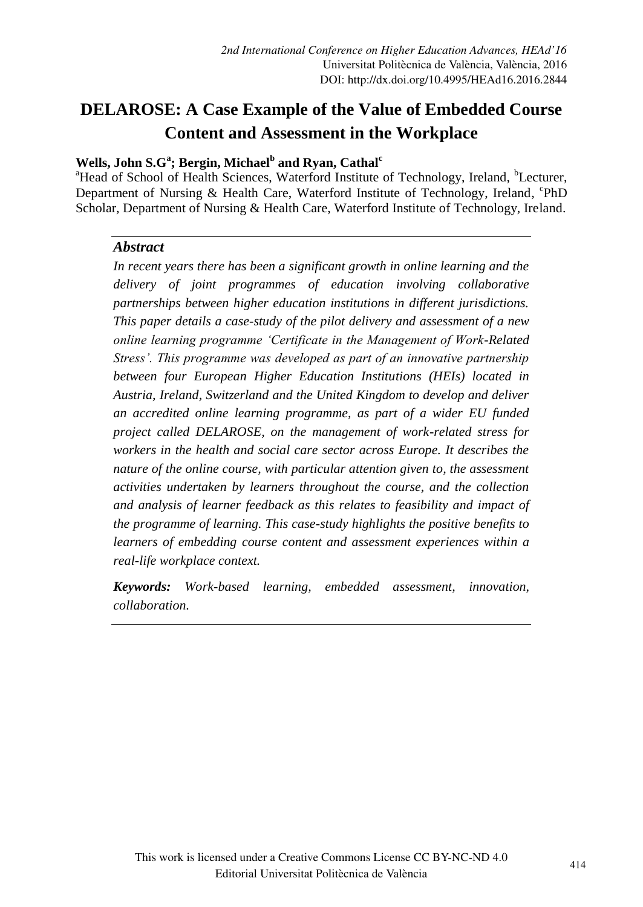## **Wells, John S.G<sup>a</sup> ; Bergin, Michael<sup>b</sup> and Ryan, Cathal<sup>c</sup>**

<sup>a</sup>Head of School of Health Sciences, Waterford Institute of Technology, Ireland, <sup>b</sup>Lecturer, Department of Nursing & Health Care, Waterford Institute of Technology, Ireland, <sup>c</sup>PhD Scholar, Department of Nursing & Health Care, Waterford Institute of Technology, Ireland.

#### *Abstract*

*In recent years there has been a significant growth in online learning and the delivery of joint programmes of education involving collaborative partnerships between higher education institutions in different jurisdictions. This paper details a case-study of the pilot delivery and assessment of a new online learning programme "Certificate in the Management of Work-Related Stress". This programme was developed as part of an innovative partnership between four European Higher Education Institutions (HEIs) located in Austria, Ireland, Switzerland and the United Kingdom to develop and deliver an accredited online learning programme, as part of a wider EU funded project called DELAROSE, on the management of work-related stress for workers in the health and social care sector across Europe. It describes the nature of the online course, with particular attention given to, the assessment activities undertaken by learners throughout the course, and the collection and analysis of learner feedback as this relates to feasibility and impact of the programme of learning. This case-study highlights the positive benefits to learners of embedding course content and assessment experiences within a real-life workplace context.* 

*Keywords: Work-based learning, embedded assessment, innovation, collaboration.*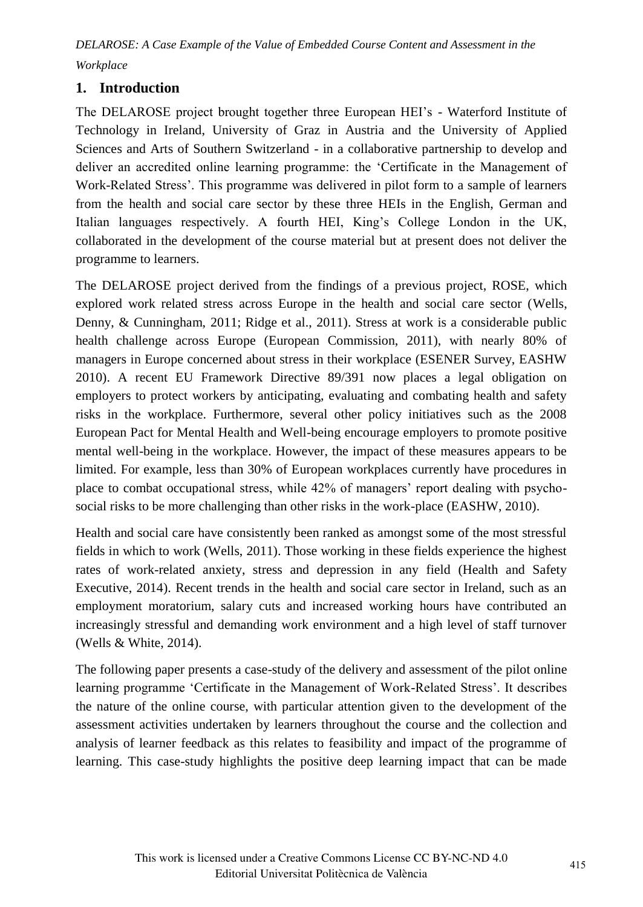# **1. Introduction**

The DELAROSE project brought together three European HEI"s - Waterford Institute of Technology in Ireland, University of Graz in Austria and the University of Applied Sciences and Arts of Southern Switzerland - in a collaborative partnership to develop and deliver an accredited online learning programme: the "Certificate in the Management of Work-Related Stress". This programme was delivered in pilot form to a sample of learners from the health and social care sector by these three HEIs in the English, German and Italian languages respectively. A fourth HEI, King"s College London in the UK, collaborated in the development of the course material but at present does not deliver the programme to learners.

The DELAROSE project derived from the findings of a previous project, ROSE, which explored work related stress across Europe in the health and social care sector (Wells, Denny, & Cunningham, 2011; Ridge et al., 2011). Stress at work is a considerable public health challenge across Europe (European Commission, 2011), with nearly 80% of managers in Europe concerned about stress in their workplace (ESENER Survey, EASHW 2010). A recent EU Framework Directive 89/391 now places a legal obligation on employers to protect workers by anticipating, evaluating and combating health and safety risks in the workplace. Furthermore, several other policy initiatives such as the 2008 European Pact for Mental Health and Well-being encourage employers to promote positive mental well-being in the workplace. However, the impact of these measures appears to be limited. For example, less than 30% of European workplaces currently have procedures in place to combat occupational stress, while 42% of managers" report dealing with psychosocial risks to be more challenging than other risks in the work-place (EASHW, 2010).

Health and social care have consistently been ranked as amongst some of the most stressful fields in which to work (Wells, 2011). Those working in these fields experience the highest rates of work-related anxiety, stress and depression in any field (Health and Safety Executive, 2014). Recent trends in the health and social care sector in Ireland, such as an employment moratorium, salary cuts and increased working hours have contributed an increasingly stressful and demanding work environment and a high level of staff turnover (Wells & White, 2014).

The following paper presents a case-study of the delivery and assessment of the pilot online learning programme "Certificate in the Management of Work-Related Stress". It describes the nature of the online course, with particular attention given to the development of the assessment activities undertaken by learners throughout the course and the collection and analysis of learner feedback as this relates to feasibility and impact of the programme of learning. This case-study highlights the positive deep learning impact that can be made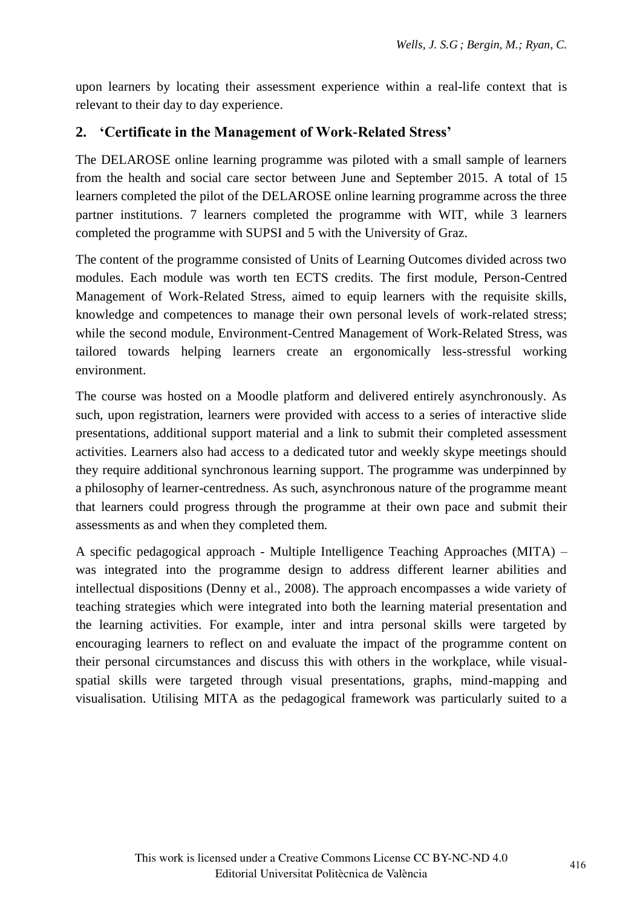upon learners by locating their assessment experience within a real-life context that is relevant to their day to day experience.

## **2. 'Certificate in the Management of Work-Related Stress'**

The DELAROSE online learning programme was piloted with a small sample of learners from the health and social care sector between June and September 2015. A total of 15 learners completed the pilot of the DELAROSE online learning programme across the three partner institutions. 7 learners completed the programme with WIT, while 3 learners completed the programme with SUPSI and 5 with the University of Graz.

The content of the programme consisted of Units of Learning Outcomes divided across two modules. Each module was worth ten ECTS credits. The first module, Person-Centred Management of Work-Related Stress, aimed to equip learners with the requisite skills, knowledge and competences to manage their own personal levels of work-related stress; while the second module, Environment-Centred Management of Work-Related Stress, was tailored towards helping learners create an ergonomically less-stressful working environment.

The course was hosted on a Moodle platform and delivered entirely asynchronously. As such, upon registration, learners were provided with access to a series of interactive slide presentations, additional support material and a link to submit their completed assessment activities. Learners also had access to a dedicated tutor and weekly skype meetings should they require additional synchronous learning support. The programme was underpinned by a philosophy of learner-centredness. As such, asynchronous nature of the programme meant that learners could progress through the programme at their own pace and submit their assessments as and when they completed them.

A specific pedagogical approach - Multiple Intelligence Teaching Approaches (MITA) – was integrated into the programme design to address different learner abilities and intellectual dispositions (Denny et al., 2008). The approach encompasses a wide variety of teaching strategies which were integrated into both the learning material presentation and the learning activities. For example, inter and intra personal skills were targeted by encouraging learners to reflect on and evaluate the impact of the programme content on their personal circumstances and discuss this with others in the workplace, while visualspatial skills were targeted through visual presentations, graphs, mind-mapping and visualisation. Utilising MITA as the pedagogical framework was particularly suited to a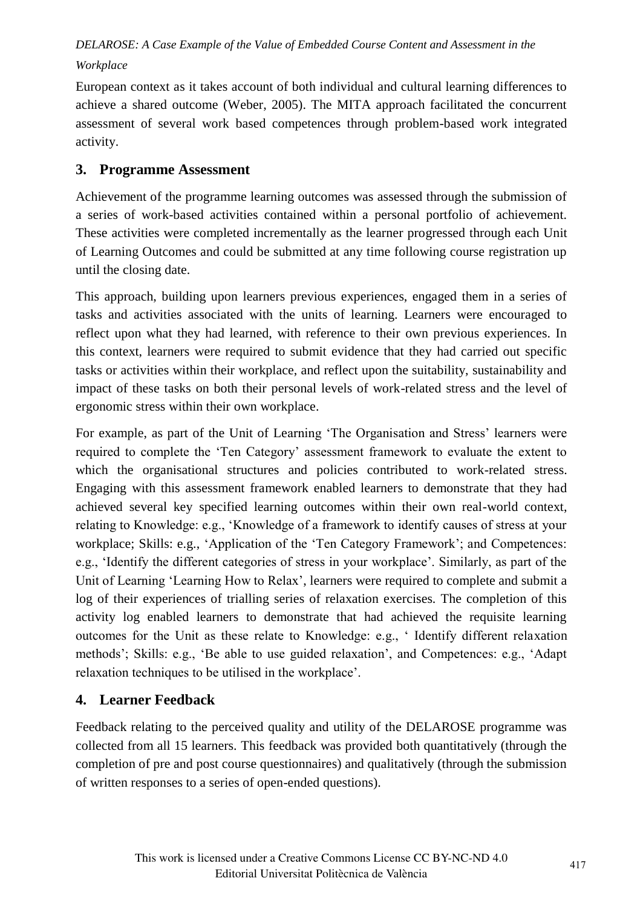European context as it takes account of both individual and cultural learning differences to achieve a shared outcome (Weber, 2005). The MITA approach facilitated the concurrent assessment of several work based competences through problem-based work integrated activity.

# **3. Programme Assessment**

Achievement of the programme learning outcomes was assessed through the submission of a series of work-based activities contained within a personal portfolio of achievement. These activities were completed incrementally as the learner progressed through each Unit of Learning Outcomes and could be submitted at any time following course registration up until the closing date.

This approach, building upon learners previous experiences, engaged them in a series of tasks and activities associated with the units of learning. Learners were encouraged to reflect upon what they had learned, with reference to their own previous experiences. In this context, learners were required to submit evidence that they had carried out specific tasks or activities within their workplace, and reflect upon the suitability, sustainability and impact of these tasks on both their personal levels of work-related stress and the level of ergonomic stress within their own workplace.

For example, as part of the Unit of Learning 'The Organisation and Stress' learners were required to complete the "Ten Category" assessment framework to evaluate the extent to which the organisational structures and policies contributed to work-related stress. Engaging with this assessment framework enabled learners to demonstrate that they had achieved several key specified learning outcomes within their own real-world context, relating to Knowledge: e.g., "Knowledge of a framework to identify causes of stress at your workplace; Skills: e.g., 'Application of the 'Ten Category Framework'; and Competences: e.g., 'Identify the different categories of stress in your workplace'. Similarly, as part of the Unit of Learning "Learning How to Relax", learners were required to complete and submit a log of their experiences of trialling series of relaxation exercises. The completion of this activity log enabled learners to demonstrate that had achieved the requisite learning outcomes for the Unit as these relate to Knowledge: e.g., " Identify different relaxation methods"; Skills: e.g., "Be able to use guided relaxation", and Competences: e.g., "Adapt relaxation techniques to be utilised in the workplace".

## **4. Learner Feedback**

Feedback relating to the perceived quality and utility of the DELAROSE programme was collected from all 15 learners. This feedback was provided both quantitatively (through the completion of pre and post course questionnaires) and qualitatively (through the submission of written responses to a series of open-ended questions).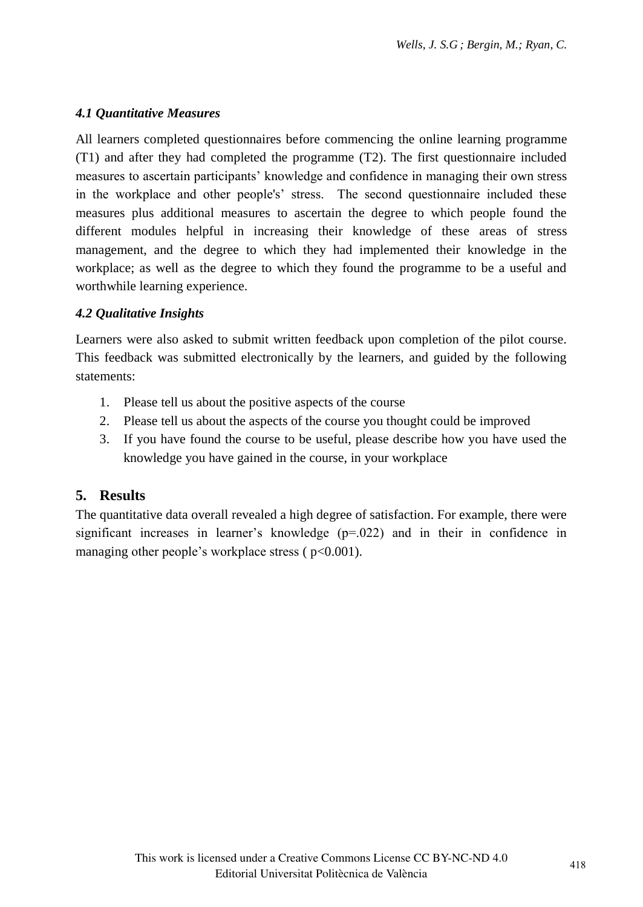## *4.1 Quantitative Measures*

All learners completed questionnaires before commencing the online learning programme (T1) and after they had completed the programme (T2). The first questionnaire included measures to ascertain participants" knowledge and confidence in managing their own stress in the workplace and other people's" stress. The second questionnaire included these measures plus additional measures to ascertain the degree to which people found the different modules helpful in increasing their knowledge of these areas of stress management, and the degree to which they had implemented their knowledge in the workplace; as well as the degree to which they found the programme to be a useful and worthwhile learning experience.

#### *4.2 Qualitative Insights*

Learners were also asked to submit written feedback upon completion of the pilot course. This feedback was submitted electronically by the learners, and guided by the following statements:

- 1. Please tell us about the positive aspects of the course
- 2. Please tell us about the aspects of the course you thought could be improved
- 3. If you have found the course to be useful, please describe how you have used the knowledge you have gained in the course, in your workplace

## **5. Results**

The quantitative data overall revealed a high degree of satisfaction. For example, there were significant increases in learner's knowledge  $(p=0.022)$  and in their in confidence in managing other people's workplace stress  $(p<0.001)$ .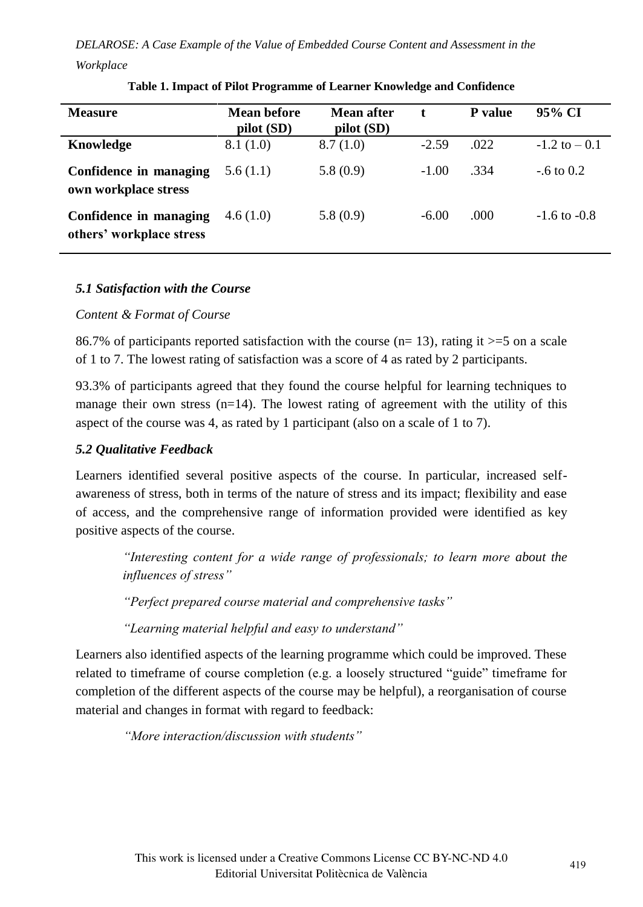| <b>Measure</b>                                     | Mean before<br>pilot (SD) | Mean after<br>pilot(SD) | t.      | <b>P</b> value | 95% CI           |
|----------------------------------------------------|---------------------------|-------------------------|---------|----------------|------------------|
| Knowledge                                          | 8.1(1.0)                  | 8.7(1.0)                | $-2.59$ | .022           | $-1.2$ to $-0.1$ |
| Confidence in managing<br>own workplace stress     | 5.6(1.1)                  | 5.8(0.9)                | $-1.00$ | .334           | $-6$ to 0.2      |
| Confidence in managing<br>others' workplace stress | 4.6(1.0)                  | 5.8(0.9)                | $-6.00$ | .000.          | $-1.6$ to $-0.8$ |

#### **Table 1. Impact of Pilot Programme of Learner Knowledge and Confidence**

#### *5.1 Satisfaction with the Course*

#### *Content & Format of Course*

86.7% of participants reported satisfaction with the course  $(n=13)$ , rating it  $>=5$  on a scale of 1 to 7. The lowest rating of satisfaction was a score of 4 as rated by 2 participants.

93.3% of participants agreed that they found the course helpful for learning techniques to manage their own stress  $(n=14)$ . The lowest rating of agreement with the utility of this aspect of the course was 4, as rated by 1 participant (also on a scale of 1 to 7).

#### *5.2 Qualitative Feedback*

Learners identified several positive aspects of the course. In particular, increased selfawareness of stress, both in terms of the nature of stress and its impact; flexibility and ease of access, and the comprehensive range of information provided were identified as key positive aspects of the course.

*"Interesting content for a wide range of professionals; to learn more about the influences of stress"*

*"Perfect prepared course material and comprehensive tasks"*

*"Learning material helpful and easy to understand"*

Learners also identified aspects of the learning programme which could be improved. These related to timeframe of course completion (e.g. a loosely structured "guide" timeframe for completion of the different aspects of the course may be helpful), a reorganisation of course material and changes in format with regard to feedback:

*"More interaction/discussion with students"*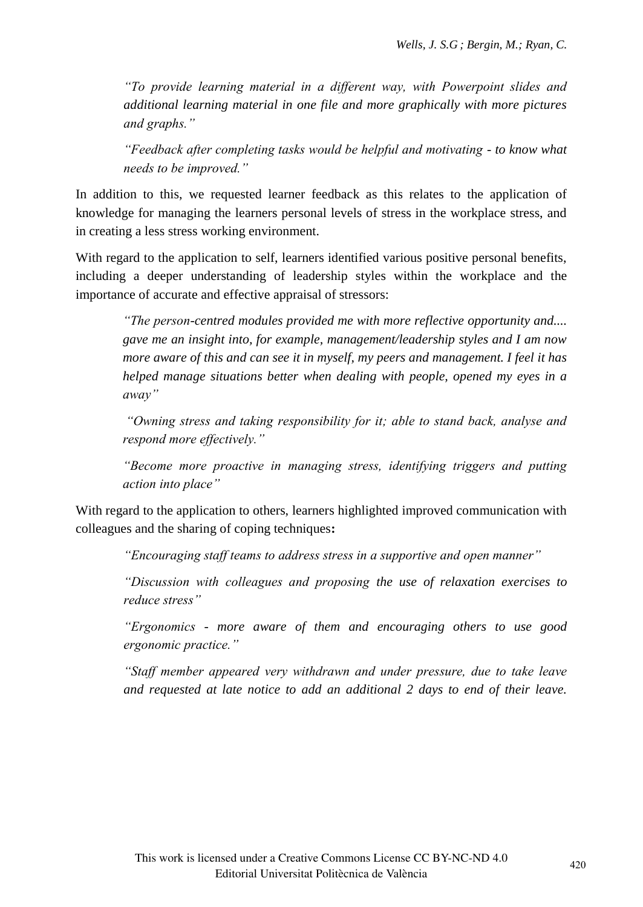*"To provide learning material in a different way, with Powerpoint slides and additional learning material in one file and more graphically with more pictures and graphs."*

*"Feedback after completing tasks would be helpful and motivating - to know what needs to be improved."*

In addition to this, we requested learner feedback as this relates to the application of knowledge for managing the learners personal levels of stress in the workplace stress, and in creating a less stress working environment.

With regard to the application to self, learners identified various positive personal benefits, including a deeper understanding of leadership styles within the workplace and the importance of accurate and effective appraisal of stressors:

*"The person-centred modules provided me with more reflective opportunity and.... gave me an insight into, for example, management/leadership styles and I am now more aware of this and can see it in myself, my peers and management. I feel it has helped manage situations better when dealing with people, opened my eyes in a away"*

*"Owning stress and taking responsibility for it; able to stand back, analyse and respond more effectively."*

*"Become more proactive in managing stress, identifying triggers and putting action into place"*

With regard to the application to others, learners highlighted improved communication with colleagues and the sharing of coping techniques**:**

*"Encouraging staff teams to address stress in a supportive and open manner"*

*"Discussion with colleagues and proposing the use of relaxation exercises to reduce stress"*

*"Ergonomics - more aware of them and encouraging others to use good ergonomic practice."*

*"Staff member appeared very withdrawn and under pressure, due to take leave and requested at late notice to add an additional 2 days to end of their leave.*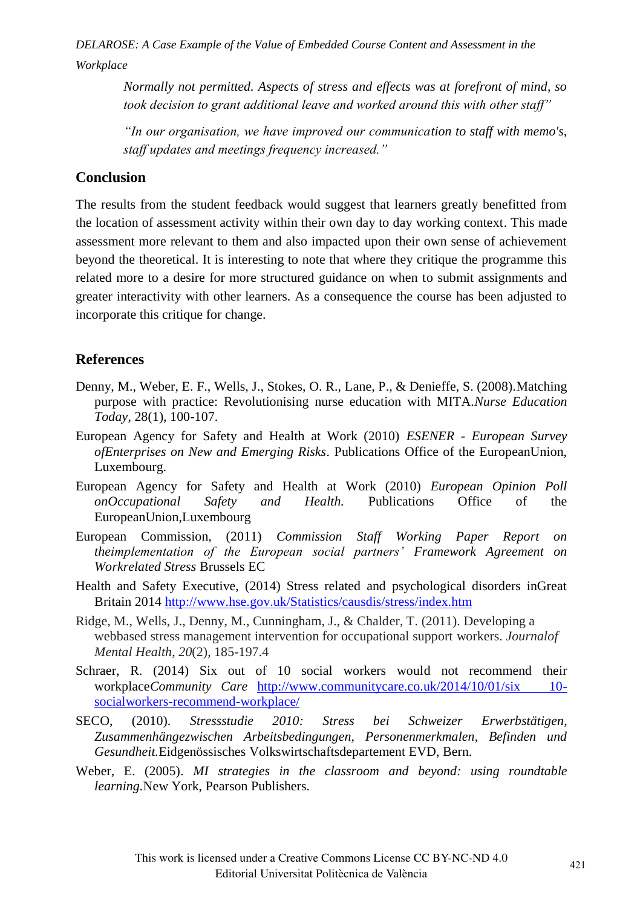> *Normally not permitted. Aspects of stress and effects was at forefront of mind, so took decision to grant additional leave and worked around this with other staff"*

> *"In our organisation, we have improved our communication to staff with memo's, staff updates and meetings frequency increased."*

## **Conclusion**

The results from the student feedback would suggest that learners greatly benefitted from the location of assessment activity within their own day to day working context. This made assessment more relevant to them and also impacted upon their own sense of achievement beyond the theoretical. It is interesting to note that where they critique the programme this related more to a desire for more structured guidance on when to submit assignments and greater interactivity with other learners. As a consequence the course has been adjusted to incorporate this critique for change.

## **References**

- Denny, M., Weber, E. F., Wells, J., Stokes, O. R., Lane, P., & Denieffe, S. (2008).Matching purpose with practice: Revolutionising nurse education with MITA.*Nurse Education Today*, 28(1), 100-107.
- European Agency for Safety and Health at Work (2010) *ESENER European Survey ofEnterprises on New and Emerging Risks*. Publications Office of the EuropeanUnion, Luxembourg.
- European Agency for Safety and Health at Work (2010) *European Opinion Poll onOccupational Safety and Health.* Publications Office of the EuropeanUnion,Luxembourg
- European Commission, (2011) *Commission Staff Working Paper Report on theimplementation of the European social partners" Framework Agreement on Workrelated Stress* Brussels EC
- Health and Safety Executive, (2014) Stress related and psychological disorders inGreat Britain 2014 http://www.hse.gov.uk/Statistics/causdis/stress/index.htm
- Ridge, M., Wells, J., Denny, M., Cunningham, J., & Chalder, T. (2011). Developing a webbased stress management intervention for occupational support workers. *Journalof Mental Health*, *20*(2), 185-197.4
- Schraer, R. (2014) Six out of 10 social workers would not recommend their workplace*Community Care* http://www.communitycare.co.uk/2014/10/01/six 10 socialworkers-recommend-workplace/
- SECO, (2010). *Stressstudie 2010: Stress bei Schweizer Erwerbstätigen, Zusammenhängezwischen Arbeitsbedingungen, Personenmerkmalen, Befinden und Gesundheit.*Eidgenössisches Volkswirtschaftsdepartement EVD, Bern.
- Weber, E. (2005). *MI strategies in the classroom and beyond: using roundtable learning.*New York, Pearson Publishers.